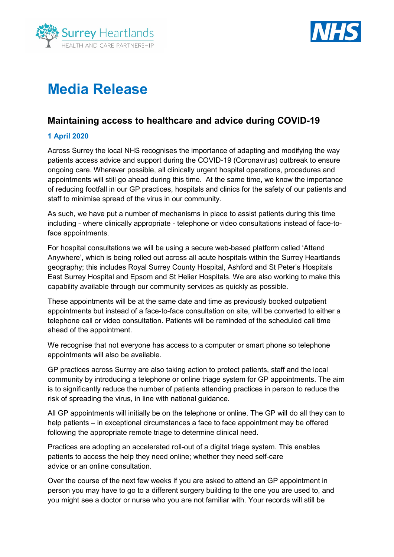



# **Media Release**

# **Maintaining access to healthcare and advice during COVID-19**

# **1 April 2020**

Across Surrey the local NHS recognises the importance of adapting and modifying the way patients access advice and support during the COVID-19 (Coronavirus) outbreak to ensure ongoing care. Wherever possible, all clinically urgent hospital operations, procedures and appointments will still go ahead during this time. At the same time, we know the importance of reducing footfall in our GP practices, hospitals and clinics for the safety of our patients and staff to minimise spread of the virus in our community.

As such, we have put a number of mechanisms in place to assist patients during this time including - where clinically appropriate - telephone or video consultations instead of face-toface appointments.

For hospital consultations we will be using a secure web-based platform called 'Attend Anywhere', which is being rolled out across all acute hospitals within the Surrey Heartlands geography; this includes Royal Surrey County Hospital, Ashford and St Peter's Hospitals East Surrey Hospital and Epsom and St Helier Hospitals. We are also working to make this capability available through our community services as quickly as possible.

These appointments will be at the same date and time as previously booked outpatient appointments but instead of a face-to-face consultation on site, will be converted to either a telephone call or video consultation. Patients will be reminded of the scheduled call time ahead of the appointment.

We recognise that not everyone has access to a computer or smart phone so telephone appointments will also be available.

GP practices across Surrey are also taking action to protect patients, staff and the local community by introducing a telephone or online triage system for GP appointments. The aim is to significantly reduce the number of patients attending practices in person to reduce the risk of spreading the virus, in line with national guidance.

All GP appointments will initially be on the telephone or online. The GP will do all they can to help patients – in exceptional circumstances a face to face appointment may be offered following the appropriate remote triage to determine clinical need.

Practices are adopting an accelerated roll-out of a digital triage system. This enables patients to access the help they need online; whether they need self-care advice or an online consultation.

Over the course of the next few weeks if you are asked to attend an GP appointment in person you may have to go to a different surgery building to the one you are used to, and you might see a doctor or nurse who you are not familiar with. Your records will still be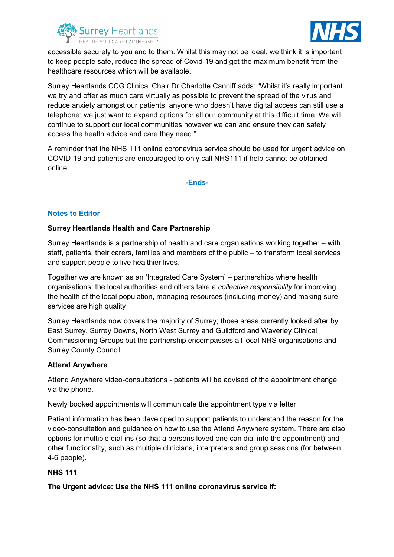



accessible securely to you and to them. Whilst this may not be ideal, we think it is important to keep people safe, reduce the spread of Covid-19 and get the maximum benefit from the healthcare resources which will be available.

Surrey Heartlands CCG Clinical Chair Dr Charlotte Canniff adds: "Whilst it's really important we try and offer as much care virtually as possible to prevent the spread of the virus and reduce anxiety amongst our patients, anyone who doesn't have digital access can still use a telephone; we just want to expand options for all our community at this difficult time. We will continue to support our local communities however we can and ensure they can safely access the health advice and care they need."

A reminder that the NHS 111 online coronavirus service should be used for urgent advice on COVID-19 and patients are encouraged to only call NHS111 if help cannot be obtained online.

**-Ends-**

## **Notes to Editor**

### **Surrey Heartlands Health and Care Partnership**

Surrey Heartlands is a partnership of health and care organisations working together – with staff, patients, their carers, families and members of the public – to transform local services and support people to live healthier lives.

Together we are known as an 'Integrated Care System' – partnerships where health organisations, the local authorities and others take a *collective responsibility* for improving the health of the local population, managing resources (including money) and making sure services are high quality

Surrey Heartlands now covers the majority of Surrey; those areas currently looked after by East Surrey, Surrey Downs, North West Surrey and Guildford and Waverley Clinical Commissioning Groups but the partnership encompasses all local NHS organisations and Surrey County Council.

### **Attend Anywhere**

Attend Anywhere video-consultations - patients will be advised of the appointment change via the phone.

Newly booked appointments will communicate the appointment type via letter.

Patient information has been developed to support patients to understand the reason for the video-consultation and guidance on how to use the Attend Anywhere system. There are also options for multiple dial-ins (so that a persons loved one can dial into the appointment) and other functionality, such as multiple clinicians, interpreters and group sessions (for between 4-6 people).

### **NHS 111**

**The Urgent advice: Use the NHS 111 online coronavirus service if:**